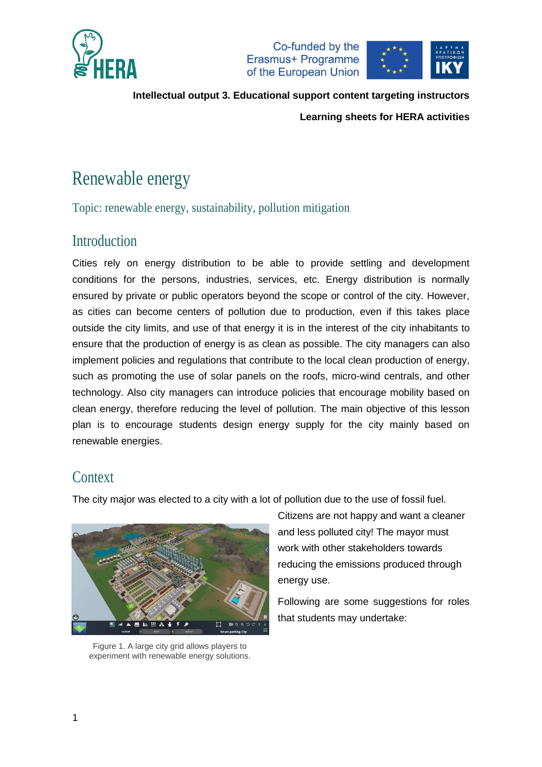



**Intellectual output 3. Educational support content targeting instructors**

**Learning sheets for HERA activities**

# Renewable energy

Topic: renewable energy, sustainability, pollution mitigation

# Introduction

Cities rely on energy distribution to be able to provide settling and development conditions for the persons, industries, services, etc. Energy distribution is normally ensured by private or public operators beyond the scope or control of the city. However, as cities can become centers of pollution due to production, even if this takes place outside the city limits, and use of that energy it is in the interest of the city inhabitants to ensure that the production of energy is as clean as possible. The city managers can also implement policies and regulations that contribute to the local clean production of energy, such as promoting the use of solar panels on the roofs, micro-wind centrals, and other technology. Also city managers can introduce policies that encourage mobility based on clean energy, therefore reducing the level of pollution. The main objective of this lesson plan is to encourage students design energy supply for the city mainly based on renewable energies.

# **Context**

The city major was elected to a city with a lot of pollution due to the use of fossil fuel.



Figure 1. A large city grid allows players to experiment with renewable energy solutions.

Citizens are not happy and want a cleaner and less polluted city! The mayor must work with other stakeholders towards reducing the emissions produced through energy use.

Following are some suggestions for roles that students may undertake: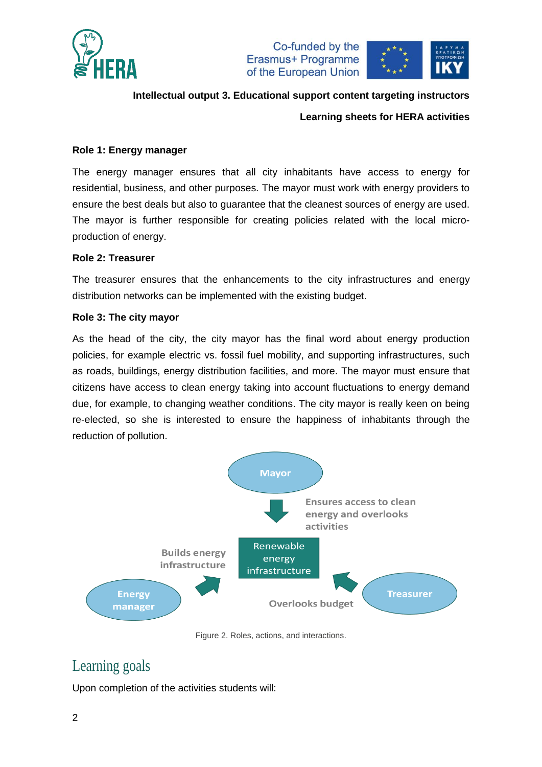

Co-funded by the Erasmus+ Programme of the European Union



**Intellectual output 3. Educational support content targeting instructors**

# **Learning sheets for HERA activities**

## **Role 1: Energy manager**

The energy manager ensures that all city inhabitants have access to energy for residential, business, and other purposes. The mayor must work with energy providers to ensure the best deals but also to guarantee that the cleanest sources of energy are used. The mayor is further responsible for creating policies related with the local microproduction of energy.

# **Role 2: Treasurer**

The treasurer ensures that the enhancements to the city infrastructures and energy distribution networks can be implemented with the existing budget.

## **Role 3: The city mayor**

As the head of the city, the city mayor has the final word about energy production policies, for example electric vs. fossil fuel mobility, and supporting infrastructures, such as roads, buildings, energy distribution facilities, and more. The mayor must ensure that citizens have access to clean energy taking into account fluctuations to energy demand due, for example, to changing weather conditions. The city mayor is really keen on being re-elected, so she is interested to ensure the happiness of inhabitants through the reduction of pollution.



Figure 2. Roles, actions, and interactions.

# Learning goals

Upon completion of the activities students will: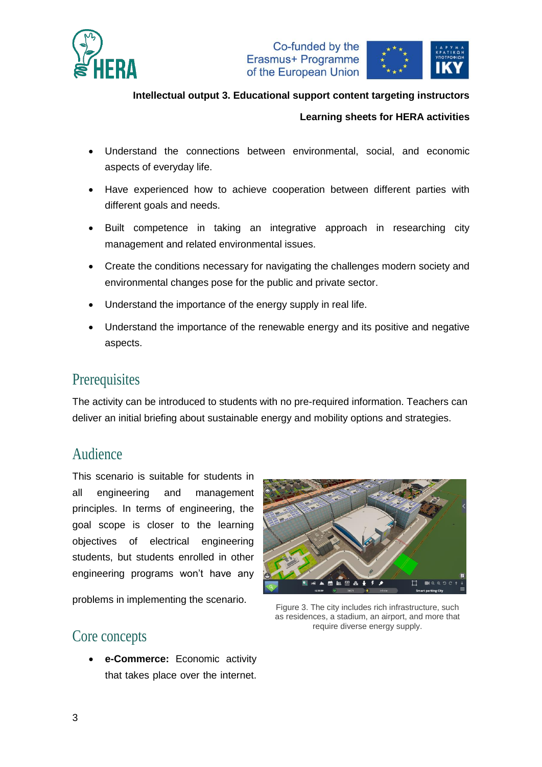





# **Intellectual output 3. Educational support content targeting instructors**

## **Learning sheets for HERA activities**

- Understand the connections between environmental, social, and economic aspects of everyday life.
- Have experienced how to achieve cooperation between different parties with different goals and needs.
- Built competence in taking an integrative approach in researching city management and related environmental issues.
- Create the conditions necessary for navigating the challenges modern society and environmental changes pose for the public and private sector.
- Understand the importance of the energy supply in real life.
- Understand the importance of the renewable energy and its positive and negative aspects.

# **Prerequisites**

The activity can be introduced to students with no pre-required information. Teachers can deliver an initial briefing about sustainable energy and mobility options and strategies.

# Audience

This scenario is suitable for students in all engineering and management principles. In terms of engineering, the goal scope is closer to the learning objectives of electrical engineering students, but students enrolled in other engineering programs won't have any

problems in implementing the scenario.

# 曲山田品士

Figure 3. The city includes rich infrastructure, such as residences, a stadium, an airport, and more that require diverse energy supply.

# Core concepts

 **e-Commerce:** Economic activity that takes place over the internet.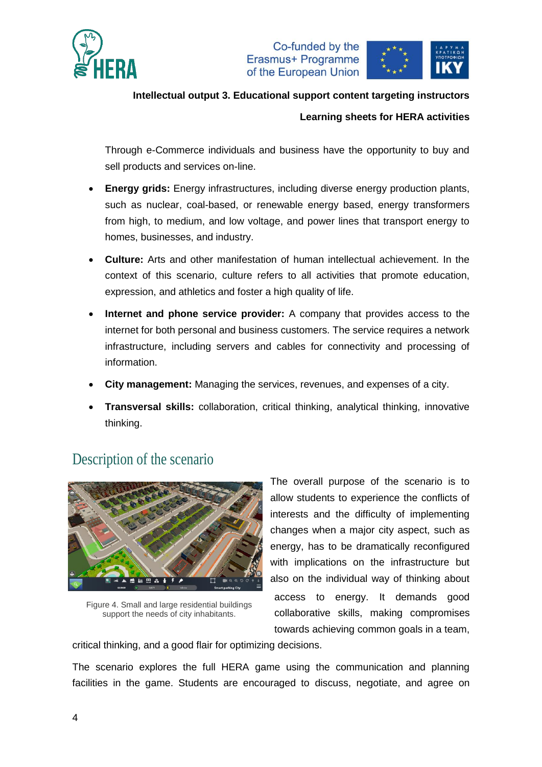

Co-funded by the Erasmus+ Programme of the European Union



# **Intellectual output 3. Educational support content targeting instructors**

## **Learning sheets for HERA activities**

Through e-Commerce individuals and business have the opportunity to buy and sell products and services on-line.

- **Energy grids:** Energy infrastructures, including diverse energy production plants, such as nuclear, coal-based, or renewable energy based, energy transformers from high, to medium, and low voltage, and power lines that transport energy to homes, businesses, and industry.
- **Culture:** Arts and other manifestation of human intellectual achievement. In the context of this scenario, culture refers to all activities that promote education, expression, and athletics and foster a high quality of life.
- **Internet and phone service provider:** A company that provides access to the internet for both personal and business customers. The service requires a network infrastructure, including servers and cables for connectivity and processing of information.
- **City management:** Managing the services, revenues, and expenses of a city.
- **Transversal skills:** collaboration, critical thinking, analytical thinking, innovative thinking.



# Description of the scenario

Figure 4. Small and large residential buildings support the needs of city inhabitants.

The overall purpose of the scenario is to allow students to experience the conflicts of interests and the difficulty of implementing changes when a major city aspect, such as energy, has to be dramatically reconfigured with implications on the infrastructure but also on the individual way of thinking about access to energy. It demands good collaborative skills, making compromises towards achieving common goals in a team,

critical thinking, and a good flair for optimizing decisions.

The scenario explores the full HERA game using the communication and planning facilities in the game. Students are encouraged to discuss, negotiate, and agree on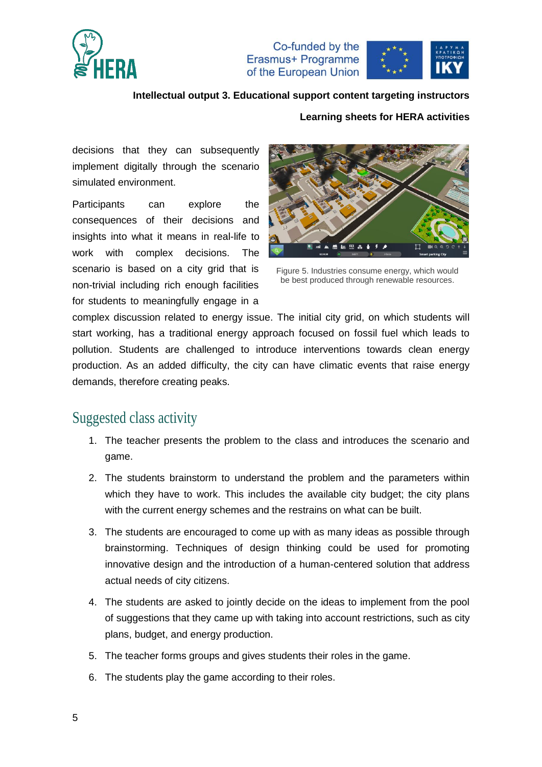

Co-funded by the Erasmus+ Programme of the European Union



## **Intellectual output 3. Educational support content targeting instructors**

### **Learning sheets for HERA activities**

decisions that they can subsequently implement digitally through the scenario simulated environment.

Participants can explore the consequences of their decisions and insights into what it means in real-life to work with complex decisions. The scenario is based on a city grid that is non-trivial including rich enough facilities for students to meaningfully engage in a



Figure 5. Industries consume energy, which would be best produced through renewable resources.

complex discussion related to energy issue. The initial city grid, on which students will start working, has a traditional energy approach focused on fossil fuel which leads to pollution. Students are challenged to introduce interventions towards clean energy production. As an added difficulty, the city can have climatic events that raise energy demands, therefore creating peaks.

# Suggested class activity

- 1. The teacher presents the problem to the class and introduces the scenario and game.
- 2. The students brainstorm to understand the problem and the parameters within which they have to work. This includes the available city budget; the city plans with the current energy schemes and the restrains on what can be built.
- 3. The students are encouraged to come up with as many ideas as possible through brainstorming. Techniques of design thinking could be used for promoting innovative design and the introduction of a human-centered solution that address actual needs of city citizens.
- 4. The students are asked to jointly decide on the ideas to implement from the pool of suggestions that they came up with taking into account restrictions, such as city plans, budget, and energy production.
- 5. The teacher forms groups and gives students their roles in the game.
- 6. The students play the game according to their roles.